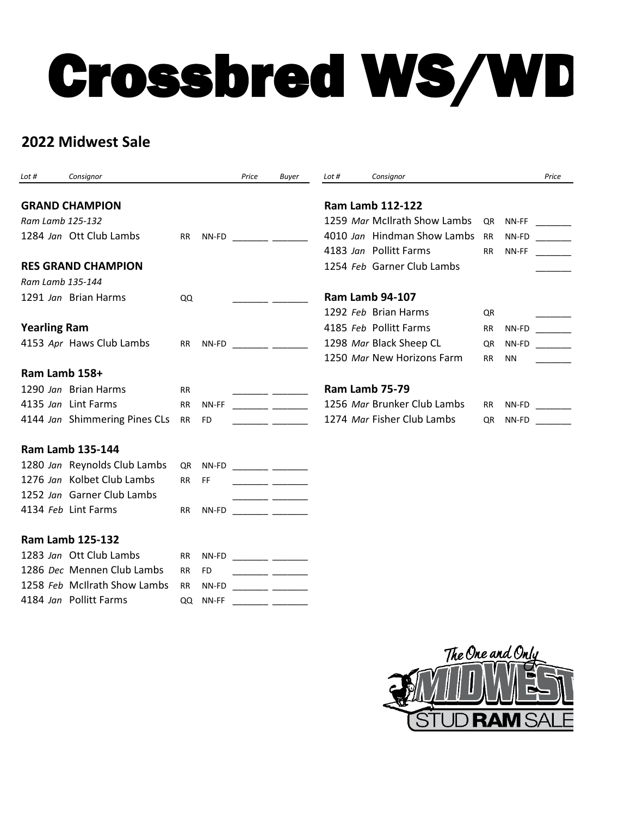## Crossbred WS/WD

## **2022 Midwest Sale**

| Lot #                 | Consignor                     |           |           | Price                 | <b>Buyer</b>                                                                                                           | Lot #                 | Consignor                    |           |           | Price |
|-----------------------|-------------------------------|-----------|-----------|-----------------------|------------------------------------------------------------------------------------------------------------------------|-----------------------|------------------------------|-----------|-----------|-------|
|                       |                               |           |           |                       |                                                                                                                        |                       |                              |           |           |       |
| <b>GRAND CHAMPION</b> |                               |           |           |                       | <b>Ram Lamb 112-122</b>                                                                                                |                       |                              |           |           |       |
| Ram Lamb 125-132      |                               |           |           |                       |                                                                                                                        |                       | 1259 Mar McIlrath Show Lambs | QR        | NN-FF     |       |
|                       | 1284 Jan Ott Club Lambs       | <b>RR</b> | NN-FD     |                       |                                                                                                                        |                       | 4010 Jan Hindman Show Lambs  | <b>RR</b> | NN-FD     |       |
|                       |                               |           |           |                       |                                                                                                                        |                       | 4183 Jan Pollitt Farms       | <b>RR</b> | NN-FF     |       |
|                       | <b>RES GRAND CHAMPION</b>     |           |           |                       |                                                                                                                        |                       | 1254 Feb Garner Club Lambs   |           |           |       |
| Ram Lamb 135-144      |                               |           |           |                       |                                                                                                                        |                       |                              |           |           |       |
|                       | 1291 Jan Brian Harms          | QQ        |           |                       |                                                                                                                        |                       | <b>Ram Lamb 94-107</b>       |           |           |       |
|                       |                               |           |           |                       |                                                                                                                        |                       | 1292 Feb Brian Harms         | QR        |           |       |
| <b>Yearling Ram</b>   |                               |           |           |                       |                                                                                                                        |                       | 4185 Feb Pollitt Farms       | <b>RR</b> | NN-FD     |       |
|                       | 4153 Apr Haws Club Lambs      | <b>RR</b> | NN-FD     | <u> 1999 - Jan Ja</u> |                                                                                                                        |                       | 1298 Mar Black Sheep CL      | QR        | NN-FD     |       |
|                       |                               |           |           |                       |                                                                                                                        |                       | 1250 Mar New Horizons Farm   | <b>RR</b> | <b>NN</b> |       |
| Ram Lamb 158+         |                               |           |           |                       |                                                                                                                        |                       |                              |           |           |       |
|                       | 1290 Jan Brian Harms          | <b>RR</b> |           |                       | $\overline{\phantom{a}}$ $\overline{\phantom{a}}$                                                                      | <b>Ram Lamb 75-79</b> |                              |           |           |       |
|                       | 4135 Jan Lint Farms           | RR.       | NN-FF     |                       |                                                                                                                        |                       | 1256 Mar Brunker Club Lambs  | <b>RR</b> | NN-FD     |       |
|                       | 4144 Jan Shimmering Pines CLs | <b>RR</b> | FD.       |                       |                                                                                                                        |                       | 1274 Mar Fisher Club Lambs   | <b>QR</b> | NN-FD     |       |
|                       | <b>Ram Lamb 135-144</b>       |           |           |                       |                                                                                                                        |                       |                              |           |           |       |
|                       | 1280 Jan Reynolds Club Lambs  | QR        | NN-FD     |                       |                                                                                                                        |                       |                              |           |           |       |
|                       | 1276 Jan Kolbet Club Lambs    | RR.       | FF.       |                       |                                                                                                                        |                       |                              |           |           |       |
|                       | 1252 Jan Garner Club Lambs    |           |           |                       | ____ _________                                                                                                         |                       |                              |           |           |       |
|                       | 4134 Feb Lint Farms           | <b>RR</b> | NN-FD     |                       |                                                                                                                        |                       |                              |           |           |       |
|                       | <b>Ram Lamb 125-132</b>       |           |           |                       |                                                                                                                        |                       |                              |           |           |       |
|                       | 1283 Jan Ott Club Lambs       | RR.       | NN-FD     |                       | <u> 1999 - John Harry Barn, mars and de la partie de la partie de la partie de la partie de la partie de la partie</u> |                       |                              |           |           |       |
|                       | 1286 Dec Mennen Club Lambs    | <b>RR</b> | <b>FD</b> |                       | <u> Linda and a strong and a strong and a strong and a strong and a strong and a strong and a strong and a strong</u>  |                       |                              |           |           |       |
|                       | 1258 Feb McIlrath Show Lambs  | <b>RR</b> | NN-FD     |                       |                                                                                                                        |                       |                              |           |           |       |
|                       | 4184 Jan Pollitt Farms        | QQ        | NN-FF     |                       |                                                                                                                        |                       |                              |           |           |       |

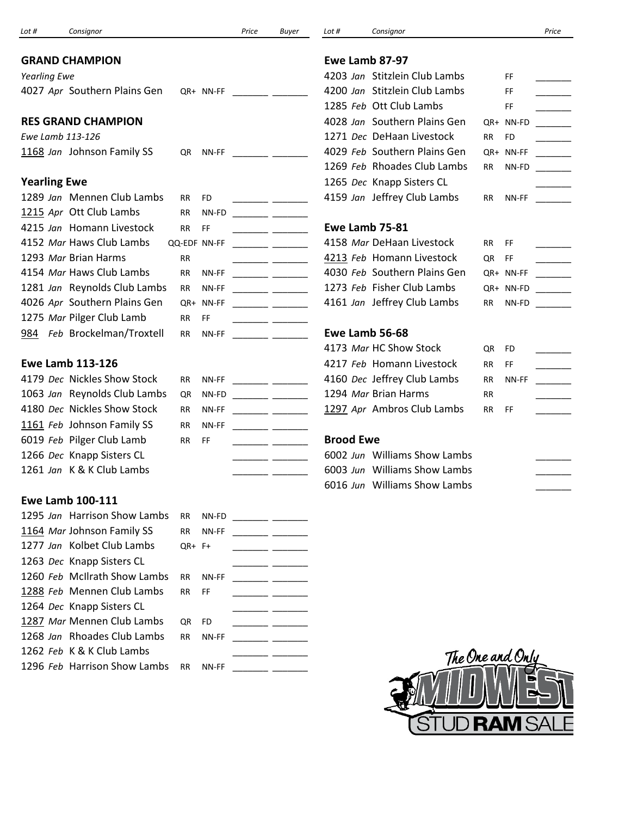|                     |                              |                    |                                                                                                                                                                                                                                                                                                                                                                                                                                                                            | Buyer                                                                                                                                                                                                                                | Lot #            | Consignor                     |           |                  | Price                    |
|---------------------|------------------------------|--------------------|----------------------------------------------------------------------------------------------------------------------------------------------------------------------------------------------------------------------------------------------------------------------------------------------------------------------------------------------------------------------------------------------------------------------------------------------------------------------------|--------------------------------------------------------------------------------------------------------------------------------------------------------------------------------------------------------------------------------------|------------------|-------------------------------|-----------|------------------|--------------------------|
|                     | <b>GRAND CHAMPION</b>        |                    |                                                                                                                                                                                                                                                                                                                                                                                                                                                                            |                                                                                                                                                                                                                                      |                  | Ewe Lamb 87-97                |           |                  |                          |
| <b>Yearling Ewe</b> |                              |                    |                                                                                                                                                                                                                                                                                                                                                                                                                                                                            |                                                                                                                                                                                                                                      |                  | 4203 Jan Stitzlein Club Lambs |           | FF.              |                          |
|                     | 4027 Apr Southern Plains Gen | QR+ NN-FF          |                                                                                                                                                                                                                                                                                                                                                                                                                                                                            |                                                                                                                                                                                                                                      |                  | 4200 Jan Stitzlein Club Lambs |           | FF.              |                          |
|                     |                              |                    |                                                                                                                                                                                                                                                                                                                                                                                                                                                                            |                                                                                                                                                                                                                                      |                  | 1285 Feb Ott Club Lambs       |           | FF.              |                          |
|                     | <b>RES GRAND CHAMPION</b>    |                    |                                                                                                                                                                                                                                                                                                                                                                                                                                                                            |                                                                                                                                                                                                                                      |                  | 4028 Jan Southern Plains Gen  |           | QR+ NN-FD        |                          |
|                     | Ewe Lamb 113-126             |                    |                                                                                                                                                                                                                                                                                                                                                                                                                                                                            |                                                                                                                                                                                                                                      |                  | 1271 Dec DeHaan Livestock     | <b>RR</b> | <b>FD</b>        |                          |
|                     | 1168 Jan Johnson Family SS   | NN-FF<br>QR        |                                                                                                                                                                                                                                                                                                                                                                                                                                                                            |                                                                                                                                                                                                                                      |                  | 4029 Feb Southern Plains Gen  |           | QR+ NN-FF        |                          |
|                     |                              |                    |                                                                                                                                                                                                                                                                                                                                                                                                                                                                            |                                                                                                                                                                                                                                      |                  | 1269 Feb Rhoades Club Lambs   | <b>RR</b> | NN-FD            |                          |
| <b>Yearling Ewe</b> |                              |                    |                                                                                                                                                                                                                                                                                                                                                                                                                                                                            |                                                                                                                                                                                                                                      |                  | 1265 Dec Knapp Sisters CL     |           |                  |                          |
|                     | 1289 Jan Mennen Club Lambs   | RR.<br>FD          |                                                                                                                                                                                                                                                                                                                                                                                                                                                                            | $\overline{\phantom{a}}$ and $\overline{\phantom{a}}$ and $\overline{\phantom{a}}$                                                                                                                                                   |                  | 4159 Jan Jeffrey Club Lambs   | <b>RR</b> | NN-FF            |                          |
|                     | 1215 Apr Ott Club Lambs      | NN-FD<br>RR        |                                                                                                                                                                                                                                                                                                                                                                                                                                                                            |                                                                                                                                                                                                                                      |                  |                               |           |                  |                          |
|                     | 4215 Jan Homann Livestock    | <b>RR</b><br>FF    |                                                                                                                                                                                                                                                                                                                                                                                                                                                                            |                                                                                                                                                                                                                                      |                  | Ewe Lamb 75-81                |           |                  |                          |
|                     | 4152 Mar Haws Club Lambs     | QQ-EDF NN-FF       |                                                                                                                                                                                                                                                                                                                                                                                                                                                                            |                                                                                                                                                                                                                                      |                  | 4158 Mar DeHaan Livestock     | <b>RR</b> | FF               |                          |
|                     | 1293 Mar Brian Harms         | RR                 |                                                                                                                                                                                                                                                                                                                                                                                                                                                                            |                                                                                                                                                                                                                                      |                  | 4213 Feb Homann Livestock     | QR        | FF               |                          |
|                     | 4154 Mar Haws Club Lambs     | NN-FF<br><b>RR</b> |                                                                                                                                                                                                                                                                                                                                                                                                                                                                            |                                                                                                                                                                                                                                      |                  | 4030 Feb Southern Plains Gen  |           | QR+ NN-FF        |                          |
|                     | 1281 Jan Reynolds Club Lambs | NN-FF<br>RR        |                                                                                                                                                                                                                                                                                                                                                                                                                                                                            |                                                                                                                                                                                                                                      |                  | 1273 Feb Fisher Club Lambs    |           | QR+ NN-FD        |                          |
|                     | 4026 Apr Southern Plains Gen | NN-FF<br>QR+       |                                                                                                                                                                                                                                                                                                                                                                                                                                                                            |                                                                                                                                                                                                                                      |                  | 4161 Jan Jeffrey Club Lambs   | RR        | NN-FD            | <b>Contract Contract</b> |
|                     | 1275 Mar Pilger Club Lamb    | FF                 |                                                                                                                                                                                                                                                                                                                                                                                                                                                                            | <u> 1989 - John Harry Barn, mars ar brening fan de Frank</u>                                                                                                                                                                         |                  |                               |           |                  |                          |
|                     |                              | RR.                |                                                                                                                                                                                                                                                                                                                                                                                                                                                                            |                                                                                                                                                                                                                                      |                  | Ewe Lamb 56-68                |           |                  |                          |
|                     | 984 Feb Brockelman/Troxtell  | NN-FF<br>RR        |                                                                                                                                                                                                                                                                                                                                                                                                                                                                            | <u> 1999 - Johann John Harry Stone Books (</u>                                                                                                                                                                                       |                  |                               |           |                  |                          |
|                     |                              |                    |                                                                                                                                                                                                                                                                                                                                                                                                                                                                            |                                                                                                                                                                                                                                      |                  | 4173 Mar HC Show Stock        | QR        | FD               |                          |
|                     | <b>Ewe Lamb 113-126</b>      |                    |                                                                                                                                                                                                                                                                                                                                                                                                                                                                            |                                                                                                                                                                                                                                      |                  | 4217 Feb Homann Livestock     | <b>RR</b> | <b>FF</b>        |                          |
|                     | 4179 Dec Nickles Show Stock  | NN-FF<br>RR        |                                                                                                                                                                                                                                                                                                                                                                                                                                                                            |                                                                                                                                                                                                                                      |                  | 4160 Dec Jeffrey Club Lambs   | <b>RR</b> | NN-FF            |                          |
|                     | 1063 Jan Reynolds Club Lambs | NN-FD<br>QR        |                                                                                                                                                                                                                                                                                                                                                                                                                                                                            |                                                                                                                                                                                                                                      |                  | 1294 Mar Brian Harms          | <b>RR</b> |                  |                          |
|                     | 4180 Dec Nickles Show Stock  | NN-FF<br><b>RR</b> |                                                                                                                                                                                                                                                                                                                                                                                                                                                                            |                                                                                                                                                                                                                                      |                  | 1297 Apr Ambros Club Lambs    | RR        | FF               |                          |
|                     | 1161 Feb Johnson Family SS   | NN-FF<br><b>RR</b> |                                                                                                                                                                                                                                                                                                                                                                                                                                                                            |                                                                                                                                                                                                                                      |                  |                               |           |                  |                          |
|                     | 6019 Feb Pilger Club Lamb    | <b>RR</b><br>FF    |                                                                                                                                                                                                                                                                                                                                                                                                                                                                            |                                                                                                                                                                                                                                      | <b>Brood Ewe</b> |                               |           |                  |                          |
|                     | 1266 Dec Knapp Sisters CL    |                    | $\frac{1}{2} \left( \frac{1}{2} \right) \left( \frac{1}{2} \right) \left( \frac{1}{2} \right) \left( \frac{1}{2} \right) \left( \frac{1}{2} \right) \left( \frac{1}{2} \right) \left( \frac{1}{2} \right) \left( \frac{1}{2} \right) \left( \frac{1}{2} \right) \left( \frac{1}{2} \right) \left( \frac{1}{2} \right) \left( \frac{1}{2} \right) \left( \frac{1}{2} \right) \left( \frac{1}{2} \right) \left( \frac{1}{2} \right) \left( \frac{1}{2} \right) \left( \frac$ |                                                                                                                                                                                                                                      |                  | 6002 Jun Williams Show Lambs  |           |                  |                          |
|                     | 1261 Jan K & K Club Lambs    |                    |                                                                                                                                                                                                                                                                                                                                                                                                                                                                            |                                                                                                                                                                                                                                      |                  | 6003 Jun Williams Show Lambs  |           |                  |                          |
|                     |                              |                    |                                                                                                                                                                                                                                                                                                                                                                                                                                                                            |                                                                                                                                                                                                                                      |                  | 6016 Jun Williams Show Lambs  |           |                  |                          |
|                     | <b>Ewe Lamb 100-111</b>      |                    |                                                                                                                                                                                                                                                                                                                                                                                                                                                                            |                                                                                                                                                                                                                                      |                  |                               |           |                  |                          |
|                     | 1295 Jan Harrison Show Lambs | NN-FD<br>RR        |                                                                                                                                                                                                                                                                                                                                                                                                                                                                            |                                                                                                                                                                                                                                      |                  |                               |           |                  |                          |
|                     | 1164 Mar Johnson Family SS   | NN-FF<br>RR        |                                                                                                                                                                                                                                                                                                                                                                                                                                                                            | <u> 1988 - Andrea Station Books and the Books and the Books and the Books and the Books and the Books and the Books and the Books and the Books and the Books and the Books and the Books and the Books and the Books and the Bo</u> |                  |                               |           |                  |                          |
|                     | 1277 Jan Kolbet Club Lambs   | QR+ F+             |                                                                                                                                                                                                                                                                                                                                                                                                                                                                            |                                                                                                                                                                                                                                      |                  |                               |           |                  |                          |
|                     | 1263 Dec Knapp Sisters CL    |                    |                                                                                                                                                                                                                                                                                                                                                                                                                                                                            |                                                                                                                                                                                                                                      |                  |                               |           |                  |                          |
|                     | 1260 Feb McIlrath Show Lambs | NN-FF<br>RR        |                                                                                                                                                                                                                                                                                                                                                                                                                                                                            |                                                                                                                                                                                                                                      |                  |                               |           |                  |                          |
|                     | 1288 Feb Mennen Club Lambs   | FF<br><b>RR</b>    |                                                                                                                                                                                                                                                                                                                                                                                                                                                                            |                                                                                                                                                                                                                                      |                  |                               |           |                  |                          |
|                     | 1264 Dec Knapp Sisters CL    |                    |                                                                                                                                                                                                                                                                                                                                                                                                                                                                            |                                                                                                                                                                                                                                      |                  |                               |           |                  |                          |
|                     | 1287 Mar Mennen Club Lambs   | QR<br>FD           |                                                                                                                                                                                                                                                                                                                                                                                                                                                                            |                                                                                                                                                                                                                                      |                  |                               |           |                  |                          |
|                     | 1268 Jan Rhoades Club Lambs  | NN-FF<br>RR        |                                                                                                                                                                                                                                                                                                                                                                                                                                                                            |                                                                                                                                                                                                                                      |                  |                               |           |                  |                          |
|                     | 1262 Feb K & K Club Lambs    |                    |                                                                                                                                                                                                                                                                                                                                                                                                                                                                            |                                                                                                                                                                                                                                      |                  |                               |           | The One and Only |                          |
|                     | 1296 Feb Harrison Show Lambs | NN-FF<br><b>RR</b> |                                                                                                                                                                                                                                                                                                                                                                                                                                                                            |                                                                                                                                                                                                                                      |                  |                               |           |                  |                          |
|                     |                              |                    |                                                                                                                                                                                                                                                                                                                                                                                                                                                                            |                                                                                                                                                                                                                                      |                  |                               |           |                  |                          |
|                     |                              |                    |                                                                                                                                                                                                                                                                                                                                                                                                                                                                            |                                                                                                                                                                                                                                      |                  |                               | A         |                  |                          |
|                     |                              |                    |                                                                                                                                                                                                                                                                                                                                                                                                                                                                            |                                                                                                                                                                                                                                      |                  |                               |           |                  |                          |
|                     |                              |                    |                                                                                                                                                                                                                                                                                                                                                                                                                                                                            |                                                                                                                                                                                                                                      |                  |                               |           |                  |                          |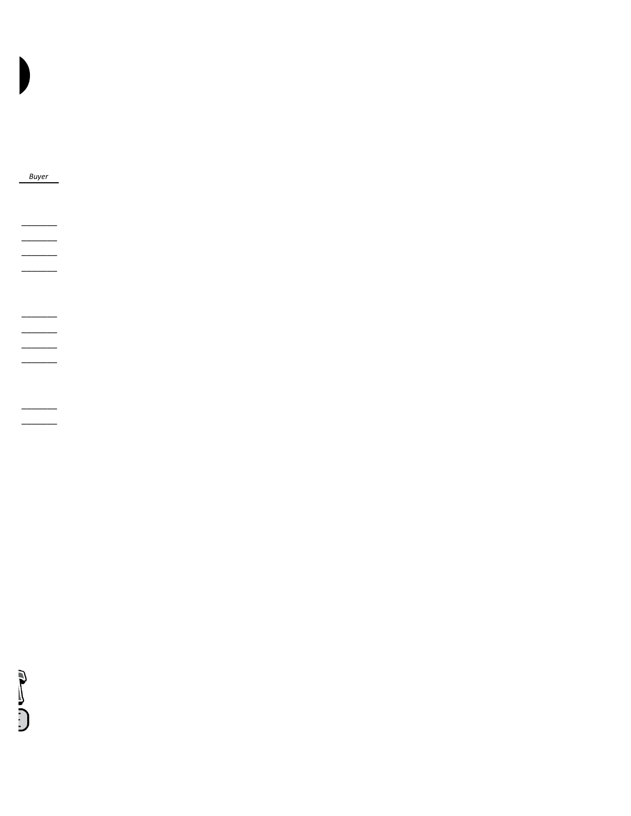SC CO

 $\overline{\phantom{0}}$ 

 $\overline{\phantom{0}}$ 

**Buyer**